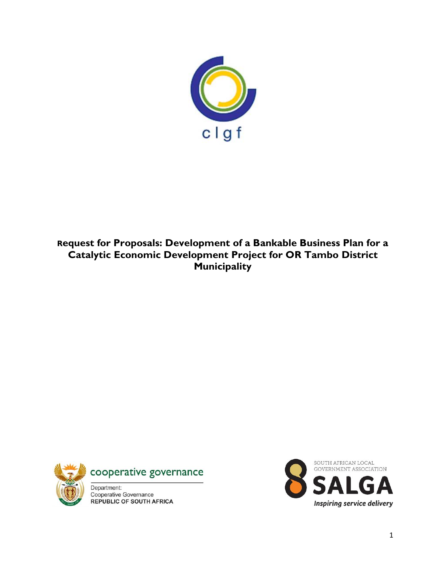

**Request for Proposals: Development of a Bankable Business Plan for a Catalytic Economic Development Project for OR Tambo District Municipality** 



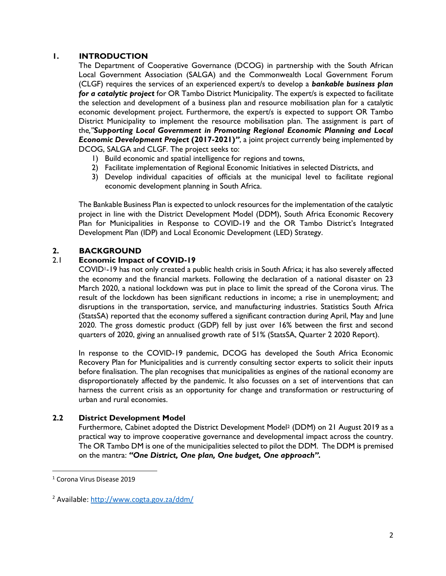# **1. INTRODUCTION**

The Department of Cooperative Governance (DCOG) in partnership with the South African Local Government Association (SALGA) and the Commonwealth Local Government Forum (CLGF) requires the services of an experienced expert/s to develop a *bankable business plan for a catalytic project* for OR Tambo District Municipality. The expert/s is expected to facilitate the selection and development of a business plan and resource mobilisation plan for a catalytic economic development project. Furthermore, the expert/s is expected to support OR Tambo District Municipality to implement the resource mobilisation plan. The assignment is part of the*,''Supporting Local Government in Promoting Regional Economic Planning and Local Economic Development Project* **(2017-2021)***''*, a joint project currently being implemented by DCOG, SALGA and CLGF. The project seeks to:

- 1) Build economic and spatial intelligence for regions and towns,
- 2) Facilitate implementation of Regional Economic Initiatives in selected Districts, and
- 3) Develop individual capacities of officials at the municipal level to facilitate regional economic development planning in South Africa.

The Bankable Business Plan is expected to unlock resources for the implementation of the catalytic project in line with the District Development Model (DDM), South Africa Economic Recovery Plan for Municipalities in Response to COVID-19 and the OR Tambo District's Integrated Development Plan (IDP) and Local Economic Development (LED) Strategy.

# **2. BACKGROUND**

# 2.1 **Economic Impact of COVID-19**

COVID1-19 has not only created a public health crisis in South Africa; it has also severely affected the economy and the financial markets. Following the declaration of a national disaster on 23 March 2020, a national lockdown was put in place to limit the spread of the Corona virus. The result of the lockdown has been significant reductions in income; a rise in unemployment; and disruptions in the transportation, service, and manufacturing industries. Statistics South Africa (StatsSA) reported that the economy suffered a significant contraction during April, May and June 2020. The gross domestic product (GDP) fell by just over 16% between the first and second quarters of 2020, giving an annualised growth rate of 51% (StatsSA, Quarter 2 2020 Report).

In response to the COVID-19 pandemic, DCOG has developed the South Africa Economic Recovery Plan for Municipalities and is currently consulting sector experts to solicit their inputs before finalisation. The plan recognises that municipalities as engines of the national economy are disproportionately affected by the pandemic. It also focusses on a set of interventions that can harness the current crisis as an opportunity for change and transformation or restructuring of urban and rural economies.

# **2.2 District Development Model**

Furthermore, Cabinet adopted the District Development Model<sup>2</sup> (DDM) on 21 August 2019 as a practical way to improve cooperative governance and developmental impact across the country. The OR Tambo DM is one of the municipalities selected to pilot the DDM. The DDM is premised on the mantra: *"One District, One plan, One budget, One approach".*

 $\overline{\phantom{a}}$ 

<sup>1</sup> Corona Virus Disease 2019

<sup>2</sup> Available:<http://www.cogta.gov.za/ddm/>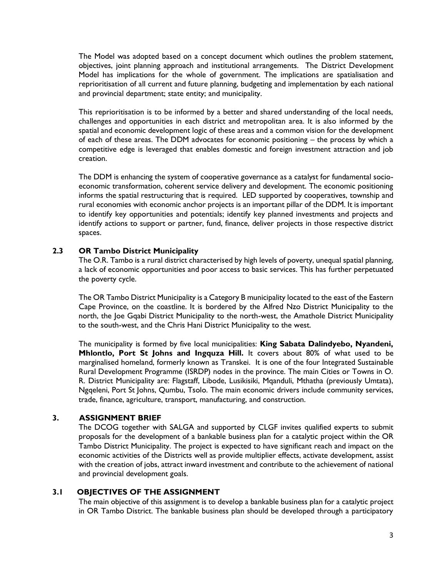The Model was adopted based on a concept document which outlines the problem statement, objectives, joint planning approach and institutional arrangements. The District Development Model has implications for the whole of government. The implications are spatialisation and reprioritisation of all current and future planning, budgeting and implementation by each national and provincial department; state entity; and municipality.

This reprioritisation is to be informed by a better and shared understanding of the local needs, challenges and opportunities in each district and metropolitan area. It is also informed by the spatial and economic development logic of these areas and a common vision for the development of each of these areas. The DDM advocates for economic positioning – the process by which a competitive edge is leveraged that enables domestic and foreign investment attraction and job creation.

The DDM is enhancing the system of cooperative governance as a catalyst for fundamental socioeconomic transformation, coherent service delivery and development. The economic positioning informs the spatial restructuring that is required. LED supported by cooperatives, township and rural economies with economic anchor projects is an important pillar of the DDM. It is important to identify key opportunities and potentials; identify key planned investments and projects and identify actions to support or partner, fund, finance, deliver projects in those respective district spaces.

## **2.3 OR Tambo District Municipality**

The O.R. Tambo is a rural district characterised by high levels of poverty, unequal spatial planning, a lack of economic opportunities and poor access to basic services. This has further perpetuated the poverty cycle.

The OR Tambo District Municipality is a Category B municipality located to the east of the Eastern Cape Province, on the coastline. It is bordered by the Alfred Nzo District Municipality to the north, the Joe Gqabi District Municipality to the north-west, the Amathole District Municipality to the south-west, and the Chris Hani District Municipality to the west.

The municipality is formed by five local municipalities: **King Sabata Dalindyebo, Nyandeni, Mhlontlo, Port St Johns and Ingquza Hill.** It covers about 80% of what used to be marginalised homeland, formerly known as Transkei. It is one of the four Integrated Sustainable Rural Development Programme (ISRDP) nodes in the province. The main Cities or Towns in O. R. District Municipality are: Flagstaff, Libode, Lusikisiki, Mqanduli, Mthatha (previously Umtata), Ngqeleni, Port St Johns, Qumbu, Tsolo. The main economic drivers include community services, trade, finance, agriculture, transport, manufacturing, and construction.

# **3. ASSIGNMENT BRIEF**

The DCOG together with SALGA and supported by CLGF invites qualified experts to submit proposals for the development of a bankable business plan for a catalytic project within the OR Tambo District Municipality. The project is expected to have significant reach and impact on the economic activities of the Districts well as provide multiplier effects, activate development, assist with the creation of jobs, attract inward investment and contribute to the achievement of national and provincial development goals.

#### **3.1 OBJECTIVES OF THE ASSIGNMENT**

The main objective of this assignment is to develop a bankable business plan for a catalytic project in OR Tambo District. The bankable business plan should be developed through a participatory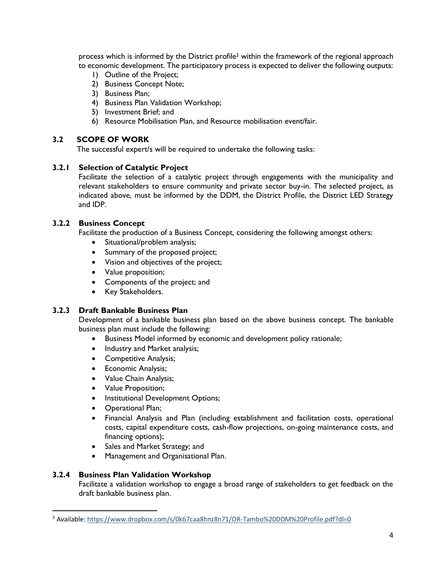process which is informed by the District profile<sup>3</sup> within the framework of the regional approach to economic development. The participatory process is expected to deliver the following outputs:

- 1) Outline of the Project;
- 2) Business Concept Note;
- 3) Business Plan;
- 4) Business Plan Validation Workshop;
- 5) Investment Brief; and
- 6) Resource Mobilisation Plan, and Resource mobilisation event/fair.

## **3.2 SCOPE OF WORK**

The successful expert/s will be required to undertake the following tasks:

## **3.2.1 Selection of Catalytic Project**

Facilitate the selection of a catalytic project through engagements with the municipality and relevant stakeholders to ensure community and private sector buy-in. The selected project, as indicated above, must be informed by the DDM, the District Profile, the District LED Strategy and IDP.

## **3.2.2 Business Concept**

Facilitate the production of a Business Concept, considering the following amongst others:

- Situational/problem analysis;
- Summary of the proposed project;
- Vision and objectives of the project;
- Value proposition;
- Components of the project; and
- Key Stakeholders.

# **3.2.3 Draft Bankable Business Plan**

Development of a bankable business plan based on the above business concept. The bankable business plan must include the following:

- Business Model informed by economic and development policy rationale;
- Industry and Market analysis;
- Competitive Analysis;
- Economic Analysis;
- Value Chain Analysis;
- Value Proposition;
- Institutional Development Options;
- Operational Plan;
- Financial Analysis and Plan (including establishment and facilitation costs, operational costs, capital expenditure costs, cash-flow projections, on-going maintenance costs, and financing options);
- Sales and Market Strategy; and
- Management and Organisational Plan.

#### **3.2.4 Business Plan Validation Workshop**

 $\overline{\phantom{a}}$ 

Facilitate a validation workshop to engage a broad range of stakeholders to get feedback on the draft bankable business plan.

<sup>3</sup> Available[: https://www.dropbox.com/s/0k67caa8hnz8n71/OR-Tambo%20DDM%20Profile.pdf?dl=0](https://www.dropbox.com/s/0k67caa8hnz8n71/OR-Tambo%20DDM%20Profile.pdf?dl=0)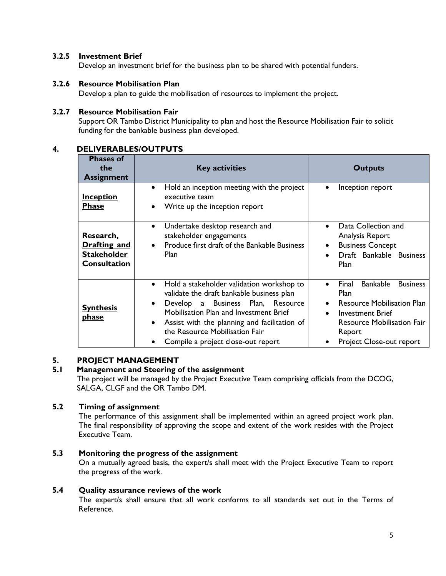# **3.2.5 Investment Brief**

Develop an investment brief for the business plan to be shared with potential funders.

## **3.2.6 Resource Mobilisation Plan**

Develop a plan to guide the mobilisation of resources to implement the project.

## **3.2.7 Resource Mobilisation Fair**

Support OR Tambo District Municipality to plan and host the Resource Mobilisation Fair to solicit funding for the bankable business plan developed.

## **4. DELIVERABLES/OUTPUTS**

| <b>Phases of</b><br>the<br><b>Assignment</b>                                  | <b>Key activities</b>                                                                                                                                                                                                                                                                                                   | <b>Outputs</b>                                                                                                                                                                          |  |  |
|-------------------------------------------------------------------------------|-------------------------------------------------------------------------------------------------------------------------------------------------------------------------------------------------------------------------------------------------------------------------------------------------------------------------|-----------------------------------------------------------------------------------------------------------------------------------------------------------------------------------------|--|--|
| <u>Inception</u><br><b>Phase</b>                                              | Hold an inception meeting with the project<br>$\bullet$<br>executive team<br>Write up the inception report                                                                                                                                                                                                              | Inception report                                                                                                                                                                        |  |  |
| Research.<br><b>Drafting and</b><br><b>Stakeholder</b><br><b>Consultation</b> | Undertake desktop research and<br>$\bullet$<br>stakeholder engagements<br>Produce first draft of the Bankable Business<br><b>Plan</b>                                                                                                                                                                                   | Data Collection and<br>Analysis Report<br><b>Business Concept</b><br>Draft Bankable Business<br><b>Plan</b>                                                                             |  |  |
| <b>Synthesis</b><br><u>phase</u>                                              | Hold a stakeholder validation workshop to<br>$\bullet$<br>validate the draft bankable business plan<br>Develop a Business Plan, Resource<br>Mobilisation Plan and Investment Brief<br>Assist with the planning and facilitation of<br>$\bullet$<br>the Resource Mobilisation Fair<br>Compile a project close-out report | Final<br><b>Bankable</b><br><b>Business</b><br>Plan<br><b>Resource Mobilisation Plan</b><br>Investment Brief<br><b>Resource Mobilisation Fair</b><br>Report<br>Project Close-out report |  |  |

# **5. PROJECT MANAGEMENT**

# **5.1 Management and Steering of the assignment**

The project will be managed by the Project Executive Team comprising officials from the DCOG, SALGA, CLGF and the OR Tambo DM.

# **5.2 Timing of assignment**

The performance of this assignment shall be implemented within an agreed project work plan. The final responsibility of approving the scope and extent of the work resides with the Project Executive Team.

# **5.3 Monitoring the progress of the assignment**

On a mutually agreed basis, the expert/s shall meet with the Project Executive Team to report the progress of the work.

#### **5.4 Quality assurance reviews of the work**

The expert/s shall ensure that all work conforms to all standards set out in the Terms of Reference.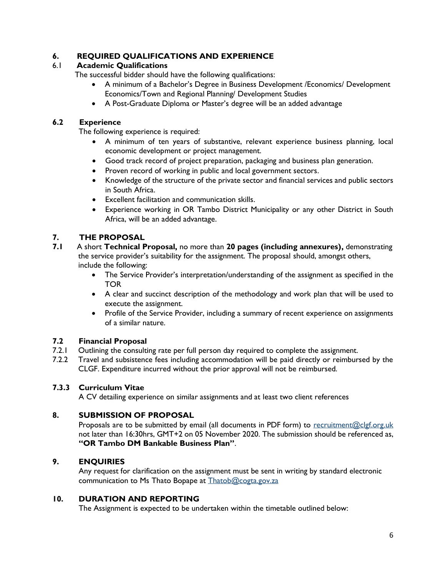# **6. REQUIRED QUALIFICATIONS AND EXPERIENCE**

# 6.1 **Academic Qualifications**

The successful bidder should have the following qualifications:

- A minimum of a Bachelor's Degree in Business Development /Economics/ Development Economics/Town and Regional Planning/ Development Studies
- A Post-Graduate Diploma or Master's degree will be an added advantage

# **6.2 Experience**

The following experience is required:

- A minimum of ten years of substantive, relevant experience business planning, local economic development or project management.
- Good track record of project preparation, packaging and business plan generation.
- Proven record of working in public and local government sectors.
- Knowledge of the structure of the private sector and financial services and public sectors in South Africa.
- Excellent facilitation and communication skills.
- Experience working in OR Tambo District Municipality or any other District in South Africa, will be an added advantage.

# **7. THE PROPOSAL**

- **7.1** A short **Technical Proposal,** no more than **20 pages (including annexures),** demonstrating the service provider's suitability for the assignment. The proposal should, amongst others, include the following:
	- The Service Provider's interpretation/understanding of the assignment as specified in the TOR
	- A clear and succinct description of the methodology and work plan that will be used to execute the assignment.
	- Profile of the Service Provider, including a summary of recent experience on assignments of a similar nature.

# **7.2 Financial Proposal**

- 7.2.1 Outlining the consulting rate per full person day required to complete the assignment.
- 7.2.2 Travel and subsistence fees including accommodation will be paid directly or reimbursed by the CLGF. Expenditure incurred without the prior approval will not be reimbursed.

# **7.3.3 Curriculum Vitae**

A CV detailing experience on similar assignments and at least two client references

# **8. SUBMISSION OF PROPOSAL**

Proposals are to be submitted by email (all documents in PDF form) to [recruitment@clgf.org.uk](mailto:recruitment@clgf.org.uk) not later than 16:30hrs, GMT+2 on 05 November 2020. The submission should be referenced as, **"OR Tambo DM Bankable Business Plan"**.

# **9. ENQUIRIES**

Any request for clarification on the assignment must be sent in writing by standard electronic communication to Ms Thato Bopape at [Thatob@cogta.gov.za](mailto:Thatob@cogta.gov.za)

# **10. DURATION AND REPORTING**

The Assignment is expected to be undertaken within the timetable outlined below: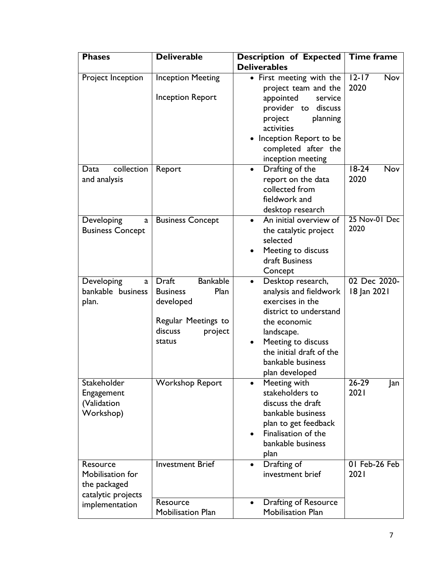| <b>Phases</b>                                                      | <b>Deliverable</b>                                                                                                             | <b>Description of Expected</b>                                                                                                                                                                                                | Time frame                  |
|--------------------------------------------------------------------|--------------------------------------------------------------------------------------------------------------------------------|-------------------------------------------------------------------------------------------------------------------------------------------------------------------------------------------------------------------------------|-----------------------------|
|                                                                    |                                                                                                                                | <b>Deliverables</b>                                                                                                                                                                                                           |                             |
| Project Inception                                                  | <b>Inception Meeting</b>                                                                                                       | • First meeting with the<br>project team and the                                                                                                                                                                              | $12 - 17$<br>Nov<br>2020    |
|                                                                    | <b>Inception Report</b>                                                                                                        | appointed<br>service<br>provider to<br>discuss<br>project<br>planning<br>activities                                                                                                                                           |                             |
|                                                                    |                                                                                                                                | • Inception Report to be<br>completed after the<br>inception meeting                                                                                                                                                          |                             |
| collection<br>Data<br>and analysis                                 | Report                                                                                                                         | Drafting of the<br>$\bullet$<br>report on the data<br>collected from<br>fieldwork and<br>desktop research                                                                                                                     | $18-24$<br>Nov<br>2020      |
| Developing<br>a<br><b>Business Concept</b>                         | <b>Business Concept</b>                                                                                                        | An initial overview of<br>the catalytic project<br>selected<br>Meeting to discuss<br>draft Business<br>Concept                                                                                                                | 25 Nov-01 Dec<br>2020       |
| Developing<br>a<br>bankable business<br>plan.                      | <b>Bankable</b><br><b>Draft</b><br>Plan<br><b>Business</b><br>developed<br>Regular Meetings to<br>discuss<br>project<br>status | Desktop research,<br>$\bullet$<br>analysis and fieldwork<br>exercises in the<br>district to understand<br>the economic<br>landscape.<br>Meeting to discuss<br>the initial draft of the<br>bankable business<br>plan developed | 02 Dec 2020-<br>18 Jan 2021 |
| Stakeholder<br>Engagement<br>(Validation<br>Workshop)              | <b>Workshop Report</b>                                                                                                         | Meeting with<br>$\bullet$<br>stakeholders to<br>discuss the draft<br>bankable business<br>plan to get feedback<br>Finalisation of the<br>bankable business<br>plan                                                            | $26 - 29$<br>Jan<br>2021    |
| Resource<br>Mobilisation for<br>the packaged<br>catalytic projects | <b>Investment Brief</b>                                                                                                        | Drafting of<br>$\bullet$<br>investment brief                                                                                                                                                                                  | 01 Feb-26 Feb<br>2021       |
| implementation                                                     | Resource<br><b>Mobilisation Plan</b>                                                                                           | Drafting of Resource<br>$\bullet$<br><b>Mobilisation Plan</b>                                                                                                                                                                 |                             |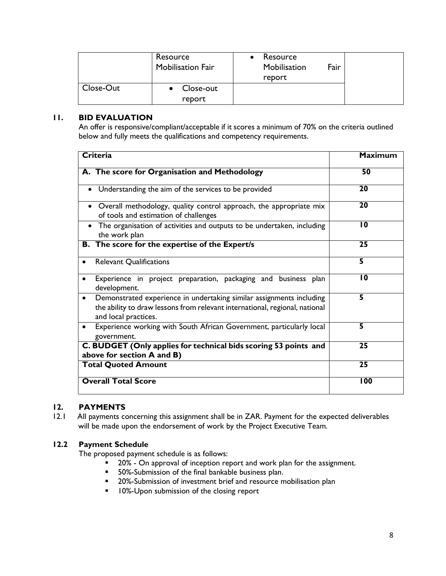|           | Resource<br><b>Mobilisation Fair</b> | Resource<br>Mobilisation<br>report | Fair |
|-----------|--------------------------------------|------------------------------------|------|
| Close-Out | Close-out<br>report                  |                                    |      |

#### **11. BID EVALUATION**

An offer is responsive/compliant/acceptable if it scores a minimum of 70% on the criteria outlined below and fully meets the qualifications and competency requirements.

| <b>Criteria</b>                                                                                                                                                                          | <b>Maximum</b>          |
|------------------------------------------------------------------------------------------------------------------------------------------------------------------------------------------|-------------------------|
| A. The score for Organisation and Methodology                                                                                                                                            | 50                      |
| Understanding the aim of the services to be provided                                                                                                                                     | 20                      |
| • Overall methodology, quality control approach, the appropriate mix<br>of tools and estimation of challenges                                                                            | 20                      |
| The organisation of activities and outputs to be undertaken, including<br>the work plan                                                                                                  | $\overline{10}$         |
| <b>B.</b> The score for the expertise of the Expert/s                                                                                                                                    | $\overline{25}$         |
| <b>Relevant Qualifications</b>                                                                                                                                                           | $\overline{\mathbf{5}}$ |
| Experience in project preparation, packaging and business plan<br>development.                                                                                                           | $\overline{10}$         |
| Demonstrated experience in undertaking similar assignments including<br>$\bullet$<br>the ability to draw lessons from relevant international, regional, national<br>and local practices. | 5                       |
| Experience working with South African Government, particularly local<br>$\bullet$<br>government.                                                                                         | 5                       |
| C. BUDGET (Only applies for technical bids scoring 53 points and<br>above for section A and B)                                                                                           | $\overline{25}$         |
| <b>Total Quoted Amount</b>                                                                                                                                                               | $\overline{25}$         |
| <b>Overall Total Score</b>                                                                                                                                                               | 100                     |

# **12. PAYMENTS**

12.1 All payments concerning this assignment shall be in ZAR. Payment for the expected deliverables will be made upon the endorsement of work by the Project Executive Team.

# **12.2 Payment Schedule**

The proposed payment schedule is as follows:

- **20%** On approval of inception report and work plan for the assignment.
- **50%-Submission of the final bankable business plan.**
- **20%-Submission of investment brief and resource mobilisation plan**
- **10%-Upon submission of the closing report**